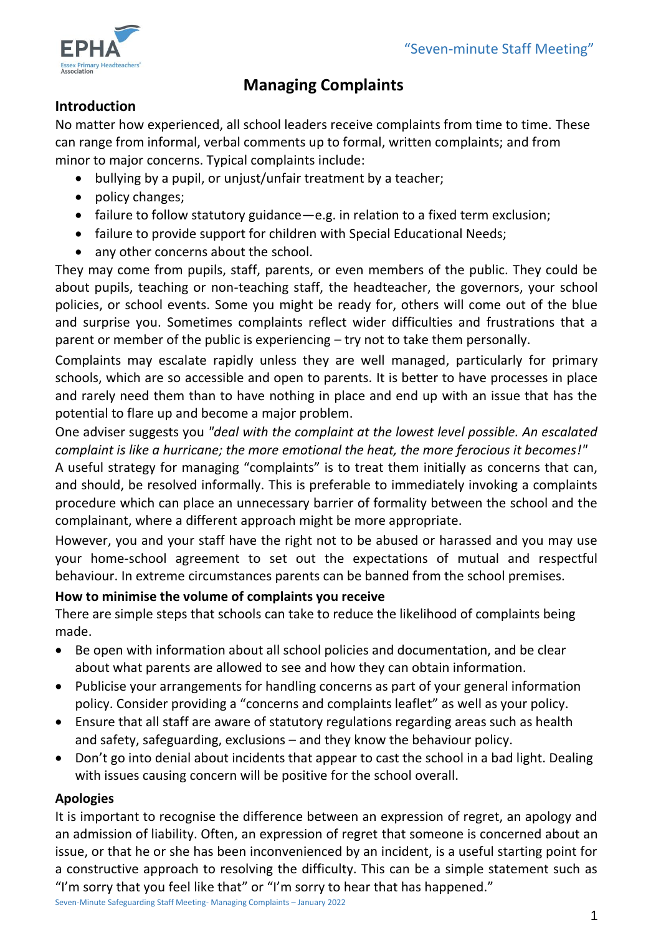

# **Managing Complaints**

# **Introduction**

No matter how experienced, all school leaders receive complaints from time to time. These can range from informal, verbal comments up to formal, written complaints; and from minor to major concerns. Typical complaints include:

- bullying by a pupil, or unjust/unfair treatment by a teacher;
- policy changes;
- failure to follow statutory guidance—e.g. in relation to a fixed term exclusion;
- failure to provide support for children with Special Educational Needs;
- any other concerns about the school.

They may come from pupils, staff, parents, or even members of the public. They could be about pupils, teaching or non-teaching staff, the headteacher, the governors, your school policies, or school events. Some you might be ready for, others will come out of the blue and surprise you. Sometimes complaints reflect wider difficulties and frustrations that a parent or member of the public is experiencing – try not to take them personally.

Complaints may escalate rapidly unless they are well managed, particularly for primary schools, which are so accessible and open to parents. It is better to have processes in place and rarely need them than to have nothing in place and end up with an issue that has the potential to flare up and become a major problem.

One adviser suggests you *"deal with the complaint at the lowest level possible. An escalated complaint is like a hurricane; the more emotional the heat, the more ferocious it becomes!"* A useful strategy for managing "complaints" is to treat them initially as concerns that can,

and should, be resolved informally. This is preferable to immediately invoking a complaints procedure which can place an unnecessary barrier of formality between the school and the complainant, where a different approach might be more appropriate.

However, you and your staff have the right not to be abused or harassed and you may use your home-school agreement to set out the expectations of mutual and respectful behaviour. In extreme circumstances parents can be banned from the school premises.

# **How to minimise the volume of complaints you receive**

There are simple steps that schools can take to reduce the likelihood of complaints being made.

- Be open with information about all school policies and documentation, and be clear about what parents are allowed to see and how they can obtain information.
- Publicise your arrangements for handling concerns as part of your general information policy. Consider providing a "concerns and complaints leaflet" as well as your policy.
- Ensure that all staff are aware of statutory regulations regarding areas such as health and safety, safeguarding, exclusions – and they know the behaviour policy.
- Don't go into denial about incidents that appear to cast the school in a bad light. Dealing with issues causing concern will be positive for the school overall.

# **Apologies**

It is important to recognise the difference between an expression of regret, an apology and an admission of liability. Often, an expression of regret that someone is concerned about an issue, or that he or she has been inconvenienced by an incident, is a useful starting point for a constructive approach to resolving the difficulty. This can be a simple statement such as "I'm sorry that you feel like that" or "I'm sorry to hear that has happened."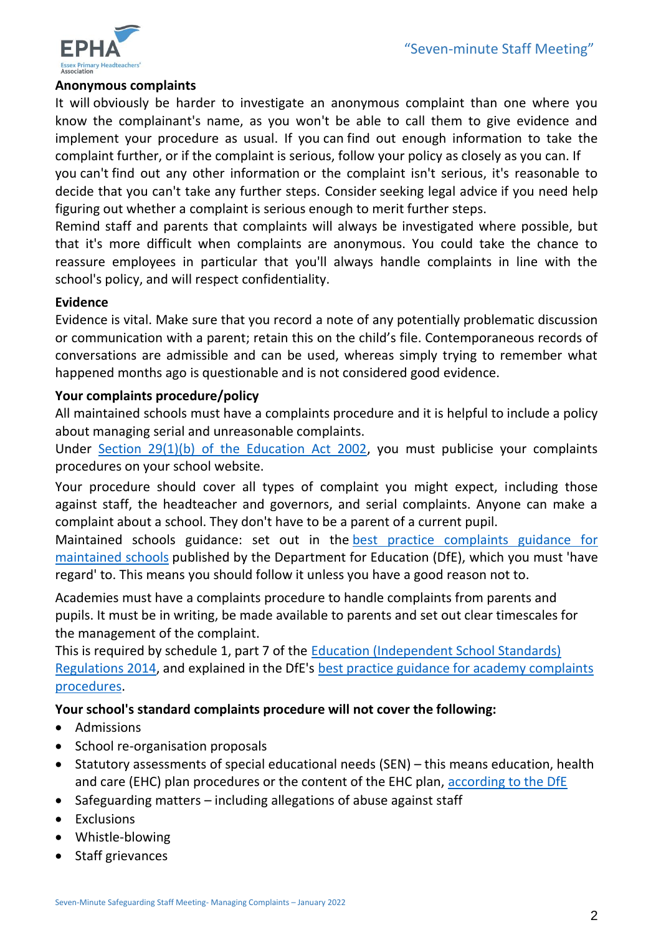

#### **Anonymous complaints**

It will obviously be harder to investigate an anonymous complaint than one where you know the complainant's name, as you won't be able to call them to give evidence and implement your procedure as usual. If you can find out enough information to take the complaint further, or if the complaint is serious, follow your policy as closely as you can. If

you can't find out any other information or the complaint isn't serious, it's reasonable to decide that you can't take any further steps. Consider seeking legal advice if you need help figuring out whether a complaint is serious enough to merit further steps.

Remind staff and parents that complaints will always be investigated where possible, but that it's more difficult when complaints are anonymous. You could take the chance to reassure employees in particular that you'll always handle complaints in line with the school's policy, and will respect confidentiality.

#### **Evidence**

Evidence is vital. Make sure that you record a note of any potentially problematic discussion or communication with a parent; retain this on the child's file. Contemporaneous records of conversations are admissible and can be used, whereas simply trying to remember what happened months ago is questionable and is not considered good evidence.

#### **Your complaints procedure/policy**

All maintained schools must have a complaints procedure and it is helpful to include a policy about managing serial and unreasonable complaints.

Under [Section 29\(1\)\(b\) of the Education Act 2002,](http://www.legislation.gov.uk/ukpga/2002/32/section/29) you must publicise your complaints procedures on your school website.

Your procedure should cover all types of complaint you might expect, including those against staff, the headteacher and governors, and serial complaints. Anyone can make a complaint about a school. They don't have to be a parent of a current pupil.

Maintained schools guidance: set out in the [best practice complaints guidance for](https://www.gov.uk/government/publications/school-complaints-procedures)  [maintained schools](https://www.gov.uk/government/publications/school-complaints-procedures) published by the Department for Education (DfE), which you must 'have regard' to. This means you should follow it unless you have a good reason not to.

Academies must have a complaints procedure to handle complaints from parents and pupils. It must be in writing, be made available to parents and set out clear timescales for the management of the complaint.

This is required by schedule 1, part 7 of the [Education \(Independent School Standards\)](http://www.legislation.gov.uk/uksi/2014/3283/schedule/made)  [Regulations 2014,](http://www.legislation.gov.uk/uksi/2014/3283/schedule/made) and explained in the DfE's [best practice guidance for academy complaints](https://www.gov.uk/government/publications/setting-up-an-academies-complaints-procedure/best-practice-guidance-for-academies-complaints-procedures)  [procedures.](https://www.gov.uk/government/publications/setting-up-an-academies-complaints-procedure/best-practice-guidance-for-academies-complaints-procedures)

#### **Your school's standard complaints procedure will not cover the following:**

- Admissions
- School re-organisation proposals
- Statutory assessments of special educational needs (SEN) this means education, health and care (EHC) plan procedures or the content of the EHC plan, [according to the DfE](https://www.gov.uk/government/organisations/department-for-education#org-contacts)
- Safeguarding matters including allegations of abuse against staff
- Exclusions
- Whistle-blowing
- Staff grievances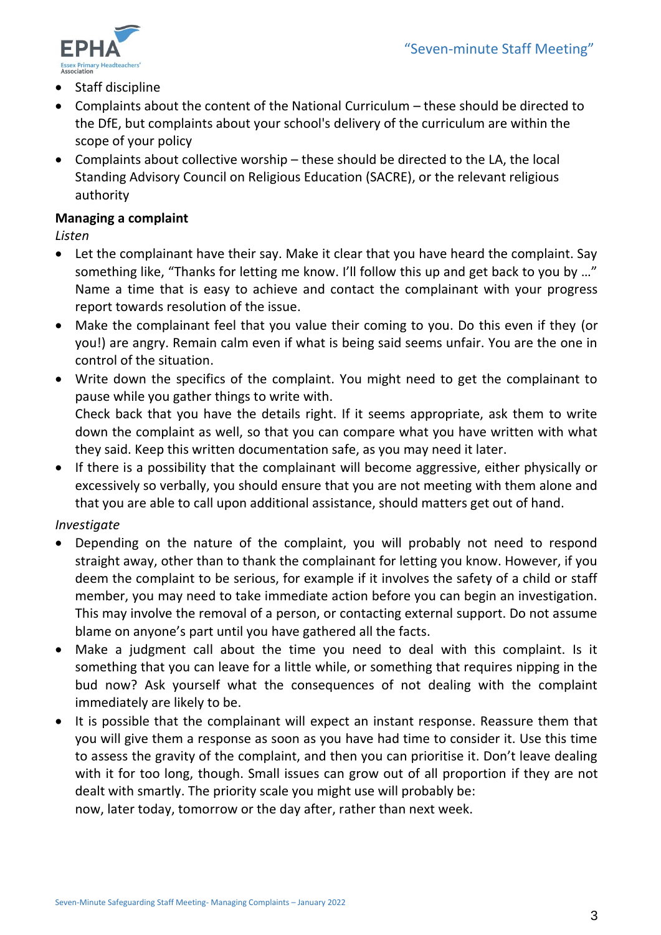

- Staff discipline
- Complaints about the content of the National Curriculum these should be directed to the DfE, but complaints about your school's delivery of the curriculum are within the scope of your policy
- Complaints about collective worship these should be directed to the LA, the local Standing Advisory Council on Religious Education (SACRE), or the relevant religious authority

#### **Managing a complaint**

*Listen*

- Let the complainant have their say. Make it clear that you have heard the complaint. Say something like, "Thanks for letting me know. I'll follow this up and get back to you by …" Name a time that is easy to achieve and contact the complainant with your progress report towards resolution of the issue.
- Make the complainant feel that you value their coming to you. Do this even if they (or you!) are angry. Remain calm even if what is being said seems unfair. You are the one in control of the situation.
- Write down the specifics of the complaint. You might need to get the complainant to pause while you gather things to write with. Check back that you have the details right. If it seems appropriate, ask them to write down the complaint as well, so that you can compare what you have written with what they said. Keep this written documentation safe, as you may need it later.
- If there is a possibility that the complainant will become aggressive, either physically or excessively so verbally, you should ensure that you are not meeting with them alone and that you are able to call upon additional assistance, should matters get out of hand.

#### *Investigate*

- Depending on the nature of the complaint, you will probably not need to respond straight away, other than to thank the complainant for letting you know. However, if you deem the complaint to be serious, for example if it involves the safety of a child or staff member, you may need to take immediate action before you can begin an investigation. This may involve the removal of a person, or contacting external support. Do not assume blame on anyone's part until you have gathered all the facts.
- Make a judgment call about the time you need to deal with this complaint. Is it something that you can leave for a little while, or something that requires nipping in the bud now? Ask yourself what the consequences of not dealing with the complaint immediately are likely to be.
- It is possible that the complainant will expect an instant response. Reassure them that you will give them a response as soon as you have had time to consider it. Use this time to assess the gravity of the complaint, and then you can prioritise it. Don't leave dealing with it for too long, though. Small issues can grow out of all proportion if they are not dealt with smartly. The priority scale you might use will probably be:

now, later today, tomorrow or the day after, rather than next week.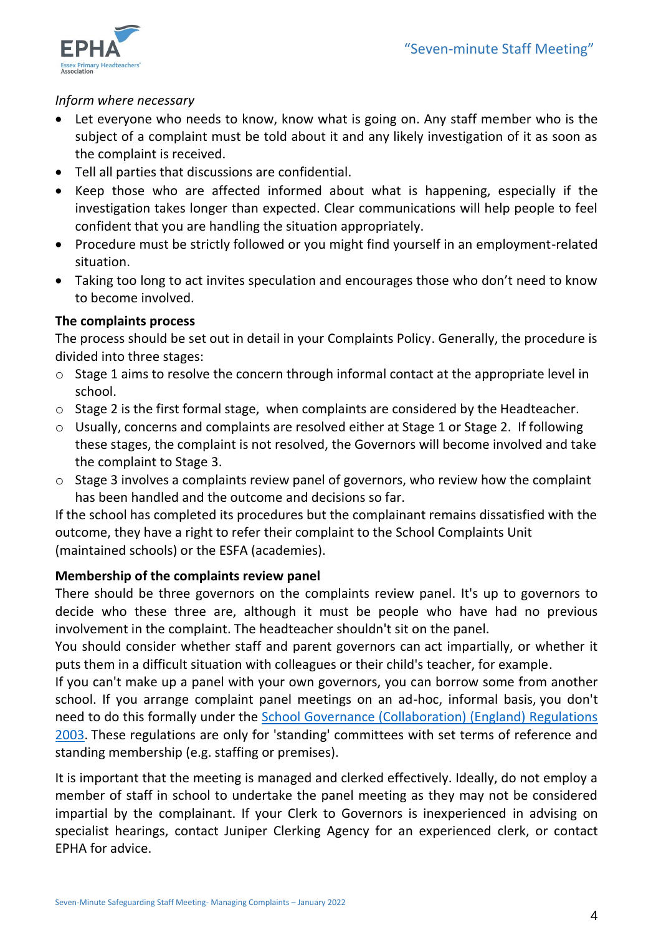

#### *Inform where necessary*

- Let everyone who needs to know, know what is going on. Any staff member who is the subject of a complaint must be told about it and any likely investigation of it as soon as the complaint is received.
- Tell all parties that discussions are confidential.
- Keep those who are affected informed about what is happening, especially if the investigation takes longer than expected. Clear communications will help people to feel confident that you are handling the situation appropriately.
- Procedure must be strictly followed or you might find yourself in an employment-related situation.
- Taking too long to act invites speculation and encourages those who don't need to know to become involved.

# **The complaints process**

The process should be set out in detail in your Complaints Policy. Generally, the procedure is divided into three stages:

- o Stage 1 aims to resolve the concern through informal contact at the appropriate level in school.
- o Stage 2 is the first formal stage, when complaints are considered by the Headteacher.
- o Usually, concerns and complaints are resolved either at Stage 1 or Stage 2. If following these stages, the complaint is not resolved, the Governors will become involved and take the complaint to Stage 3.
- o Stage 3 involves a complaints review panel of governors, who review how the complaint has been handled and the outcome and decisions so far.

If the school has completed its procedures but the complainant remains dissatisfied with the outcome, they have a right to refer their complaint to the School Complaints Unit (maintained schools) or the ESFA (academies).

# **Membership of the complaints review panel**

There should be three governors on the complaints review panel. It's up to governors to decide who these three are, although it must be people who have had no previous involvement in the complaint. The headteacher shouldn't sit on the panel.

You should consider whether staff and parent governors can act impartially, or whether it puts them in a difficult situation with colleagues or their child's teacher, for example.

If you can't make up a panel with your own governors, you can borrow some from another school. If you arrange complaint panel meetings on an ad-hoc, informal basis, you don't need to do this formally under the [School Governance \(Collaboration\) \(England\) Regulations](http://www.legislation.gov.uk/uksi/2003/1962/contents/made)  [2003.](http://www.legislation.gov.uk/uksi/2003/1962/contents/made) These regulations are only for 'standing' committees with set terms of reference and standing membership (e.g. staffing or premises).

It is important that the meeting is managed and clerked effectively. Ideally, do not employ a member of staff in school to undertake the panel meeting as they may not be considered impartial by the complainant. If your Clerk to Governors is inexperienced in advising on specialist hearings, contact Juniper Clerking Agency for an experienced clerk, or contact EPHA for advice.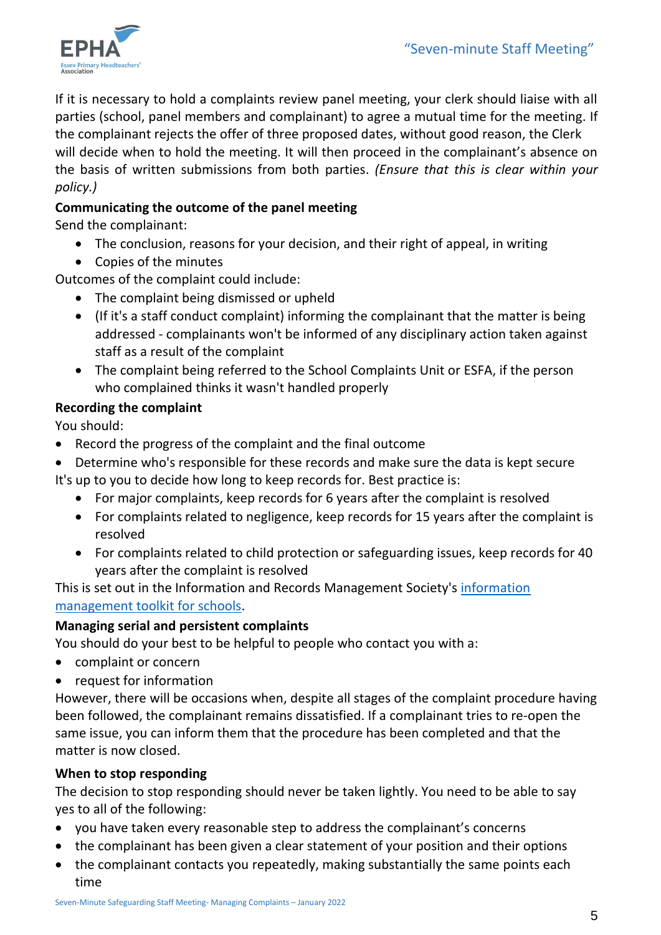

If it is necessary to hold a complaints review panel meeting, your clerk should liaise with all parties (school, panel members and complainant) to agree a mutual time for the meeting. If the complainant rejects the offer of three proposed dates, without good reason, the Clerk will decide when to hold the meeting. It will then proceed in the complainant's absence on the basis of written submissions from both parties. *(Ensure that this is clear within your policy.)*

# **Communicating the outcome of the panel meeting**

Send the complainant:

- The conclusion, reasons for your decision, and their right of appeal, in writing
- Copies of the minutes

Outcomes of the complaint could include:

- The complaint being dismissed or upheld
- (If it's a staff conduct complaint) informing the complainant that the matter is being addressed - complainants won't be informed of any disciplinary action taken against staff as a result of the complaint
- The complaint being referred to the School Complaints Unit or ESFA, if the person who complained thinks it wasn't handled properly

### **Recording the complaint**

You should:

- Record the progress of the complaint and the final outcome
- Determine who's responsible for these records and make sure the data is kept secure It's up to you to decide how long to keep records for. Best practice is:
	- For major complaints, keep records for 6 years after the complaint is resolved
		- For complaints related to negligence, keep records for 15 years after the complaint is resolved
		- For complaints related to child protection or safeguarding issues, keep records for 40 years after the complaint is resolved

This is set out in the Information and Records Management Society's information [management toolkit for schools.](https://irms.org.uk/page/SchoolsToolkit)

#### **Managing serial and persistent complaints**

You should do your best to be helpful to people who contact you with a:

- complaint or concern
- request for information

However, there will be occasions when, despite all stages of the complaint procedure having been followed, the complainant remains dissatisfied. If a complainant tries to re-open the same issue, you can inform them that the procedure has been completed and that the matter is now closed.

#### **When to stop responding**

The decision to stop responding should never be taken lightly. You need to be able to say yes to all of the following:

- you have taken every reasonable step to address the complainant's concerns
- the complainant has been given a clear statement of your position and their options
- the complainant contacts you repeatedly, making substantially the same points each time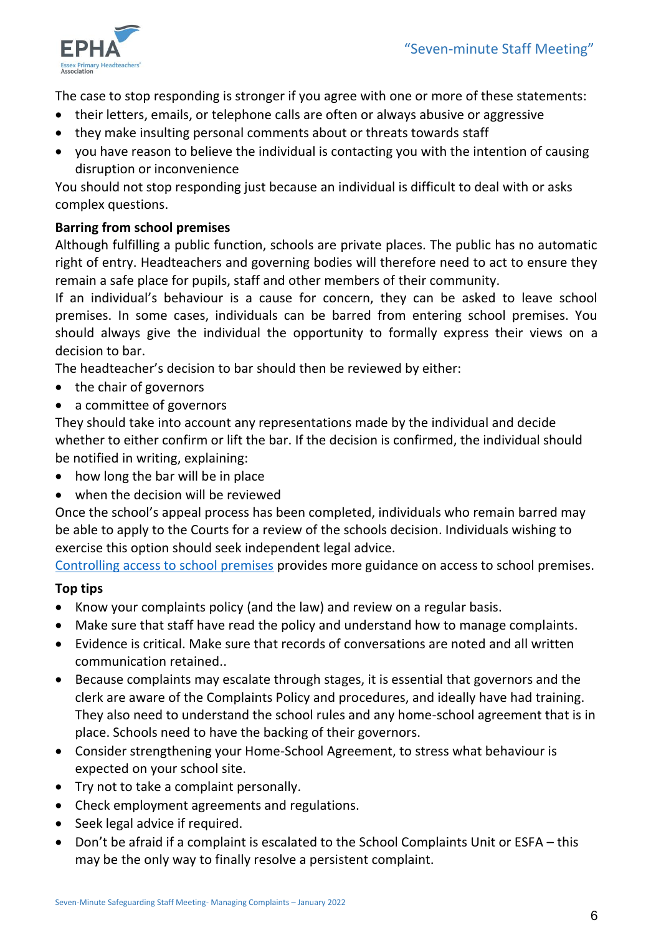

The case to stop responding is stronger if you agree with one or more of these statements:

- their letters, emails, or telephone calls are often or always abusive or aggressive
- they make insulting personal comments about or threats towards staff
- you have reason to believe the individual is contacting you with the intention of causing disruption or inconvenience

You should not stop responding just because an individual is difficult to deal with or asks complex questions.

# **Barring from school premises**

Although fulfilling a public function, schools are private places. The public has no automatic right of entry. Headteachers and governing bodies will therefore need to act to ensure they remain a safe place for pupils, staff and other members of their community.

If an individual's behaviour is a cause for concern, they can be asked to leave school premises. In some cases, individuals can be barred from entering school premises. You should always give the individual the opportunity to formally express their views on a decision to bar.

The headteacher's decision to bar should then be reviewed by either:

- the chair of governors
- a committee of governors

They should take into account any representations made by the individual and decide whether to either confirm or lift the bar. If the decision is confirmed, the individual should be notified in writing, explaining:

- how long the bar will be in place
- when the decision will be reviewed

Once the school's appeal process has been completed, individuals who remain barred may be able to apply to the Courts for a review of the schools decision. Individuals wishing to exercise this option should seek independent legal advice.

[Controlling access to school premises](https://www.gov.uk/government/publications/controlling-access-to-school-premises) provides more guidance on access to school premises.

# **Top tips**

- Know your complaints policy (and the law) and review on a regular basis.
- Make sure that staff have read the policy and understand how to manage complaints.
- Evidence is critical. Make sure that records of conversations are noted and all written communication retained..
- Because complaints may escalate through stages, it is essential that governors and the clerk are aware of the Complaints Policy and procedures, and ideally have had training. They also need to understand the school rules and any home-school agreement that is in place. Schools need to have the backing of their governors.
- Consider strengthening your Home-School Agreement, to stress what behaviour is expected on your school site.
- Try not to take a complaint personally.
- Check employment agreements and regulations.
- Seek legal advice if required.
- Don't be afraid if a complaint is escalated to the School Complaints Unit or ESFA this may be the only way to finally resolve a persistent complaint.